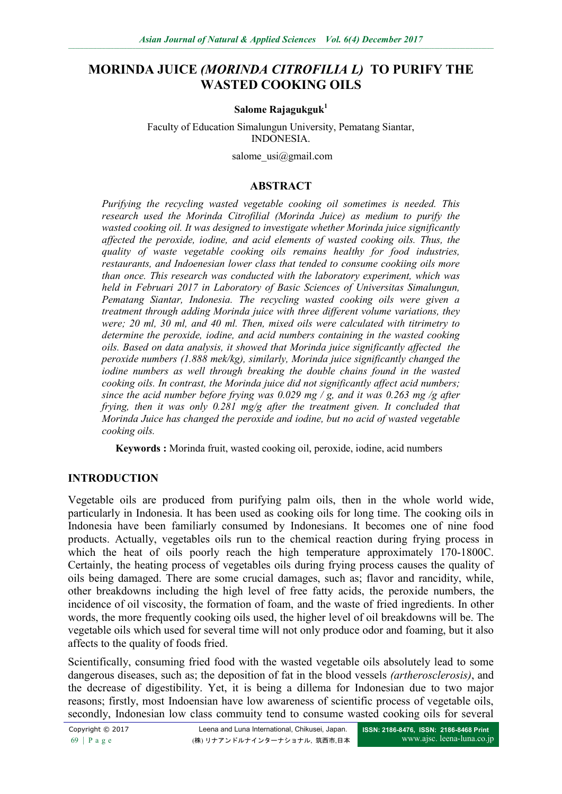# **MORINDA JUICE** *(MORINDA CITROFILIA L)* **TO PURIFY THE WASTED COOKING OILS**

#### **Salome Rajagukguk<sup>1</sup>**

Faculty of Education Simalungun University, Pematang Siantar, INDONESIA.

salome  $usi@gmail.com$ 

#### **ABSTRACT**

*Purifying the recycling wasted vegetable cooking oil sometimes is needed. This research used the Morinda Citrofilial (Morinda Juice) as medium to purify the wasted cooking oil. It was designed to investigate whether Morinda juice significantly affected the peroxide, iodine, and acid elements of wasted cooking oils. Thus, the quality of waste vegetable cooking oils remains healthy for food industries, restaurants, and Indoenesian lower class that tended to consume cookiing oils more than once. This research was conducted with the laboratory experiment, which was held in Februari 2017 in Laboratory of Basic Sciences of Universitas Simalungun, Pematang Siantar, Indonesia. The recycling wasted cooking oils were given a treatment through adding Morinda juice with three different volume variations, they were; 20 ml, 30 ml, and 40 ml. Then, mixed oils were calculated with titrimetry to determine the peroxide, iodine, and acid numbers containing in the wasted cooking oils. Based on data analysis, it showed that Morinda juice significantly affected the peroxide numbers (1.888 mek/kg), similarly, Morinda juice significantly changed the iodine numbers as well through breaking the double chains found in the wasted cooking oils. In contrast, the Morinda juice did not significantly affect acid numbers; since the acid number before frying was 0.029 mg / g, and it was 0.263 mg /g after frying, then it was only 0.281 mg/g after the treatment given. It concluded that Morinda Juice has changed the peroxide and iodine, but no acid of wasted vegetable cooking oils.* 

**Keywords :** Morinda fruit, wasted cooking oil, peroxide, iodine, acid numbers

# **INTRODUCTION**

Vegetable oils are produced from purifying palm oils, then in the whole world wide, particularly in Indonesia. It has been used as cooking oils for long time. The cooking oils in Indonesia have been familiarly consumed by Indonesians. It becomes one of nine food products. Actually, vegetables oils run to the chemical reaction during frying process in which the heat of oils poorly reach the high temperature approximately 170-1800C. Certainly, the heating process of vegetables oils during frying process causes the quality of oils being damaged. There are some crucial damages, such as; flavor and rancidity, while, other breakdowns including the high level of free fatty acids, the peroxide numbers, the incidence of oil viscosity, the formation of foam, and the waste of fried ingredients. In other words, the more frequently cooking oils used, the higher level of oil breakdowns will be. The vegetable oils which used for several time will not only produce odor and foaming, but it also affects to the quality of foods fried.

Scientifically, consuming fried food with the wasted vegetable oils absolutely lead to some dangerous diseases, such as; the deposition of fat in the blood vessels *(artherosclerosis)*, and the decrease of digestibility. Yet, it is being a dillema for Indonesian due to two major reasons; firstly, most Indoensian have low awareness of scientific process of vegetable oils, secondly, Indonesian low class commuity tend to consume wasted cooking oils for several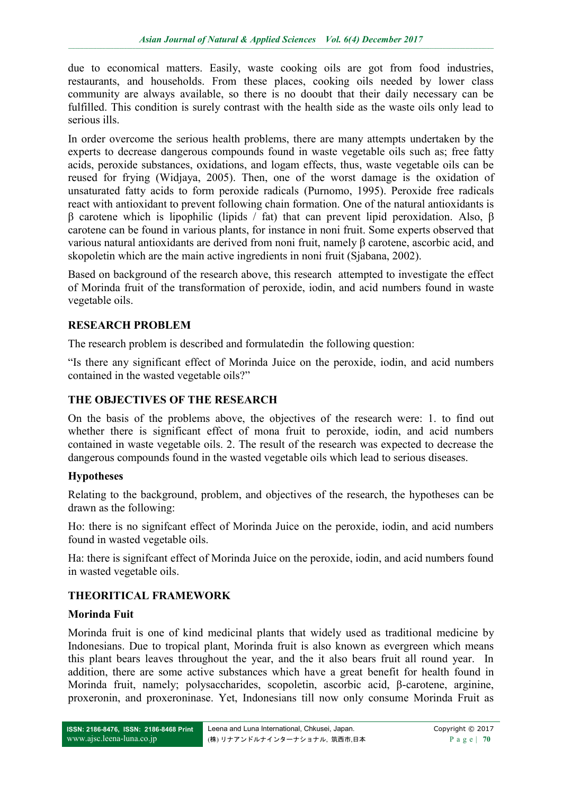due to economical matters. Easily, waste cooking oils are got from food industries, restaurants, and households. From these places, cooking oils needed by lower class community are always available, so there is no dooubt that their daily necessary can be fulfilled. This condition is surely contrast with the health side as the waste oils only lead to serious ills.

In order overcome the serious health problems, there are many attempts undertaken by the experts to decrease dangerous compounds found in waste vegetable oils such as; free fatty acids, peroxide substances, oxidations, and logam effects, thus, waste vegetable oils can be reused for frying (Widjaya, 2005). Then, one of the worst damage is the oxidation of unsaturated fatty acids to form peroxide radicals (Purnomo, 1995). Peroxide free radicals react with antioxidant to prevent following chain formation. One of the natural antioxidants is β carotene which is lipophilic (lipids / fat) that can prevent lipid peroxidation. Also, β carotene can be found in various plants, for instance in noni fruit. Some experts observed that various natural antioxidants are derived from noni fruit, namely β carotene, ascorbic acid, and skopoletin which are the main active ingredients in noni fruit (Sjabana, 2002).

Based on background of the research above, this research attempted to investigate the effect of Morinda fruit of the transformation of peroxide, iodin, and acid numbers found in waste vegetable oils.

# **RESEARCH PROBLEM**

The research problem is described and formulatedin the following question:

"Is there any significant effect of Morinda Juice on the peroxide, iodin, and acid numbers contained in the wasted vegetable oils?"

## **THE OBJECTIVES OF THE RESEARCH**

On the basis of the problems above, the objectives of the research were: 1. to find out whether there is significant effect of mona fruit to peroxide, iodin, and acid numbers contained in waste vegetable oils. 2. The result of the research was expected to decrease the dangerous compounds found in the wasted vegetable oils which lead to serious diseases.

## **Hypotheses**

Relating to the background, problem, and objectives of the research, the hypotheses can be drawn as the following:

Ho: there is no signifcant effect of Morinda Juice on the peroxide, iodin, and acid numbers found in wasted vegetable oils.

Ha: there is signifcant effect of Morinda Juice on the peroxide, iodin, and acid numbers found in wasted vegetable oils.

# **THEORITICAL FRAMEWORK**

## **Morinda Fuit**

Morinda fruit is one of kind medicinal plants that widely used as traditional medicine by Indonesians. Due to tropical plant, Morinda fruit is also known as evergreen which means this plant bears leaves throughout the year, and the it also bears fruit all round year. In addition, there are some active substances which have a great benefit for health found in Morinda fruit, namely; polysaccharides, scopoletin, ascorbic acid, β-carotene, arginine, proxeronin, and proxeroninase. Yet, Indonesians till now only consume Morinda Fruit as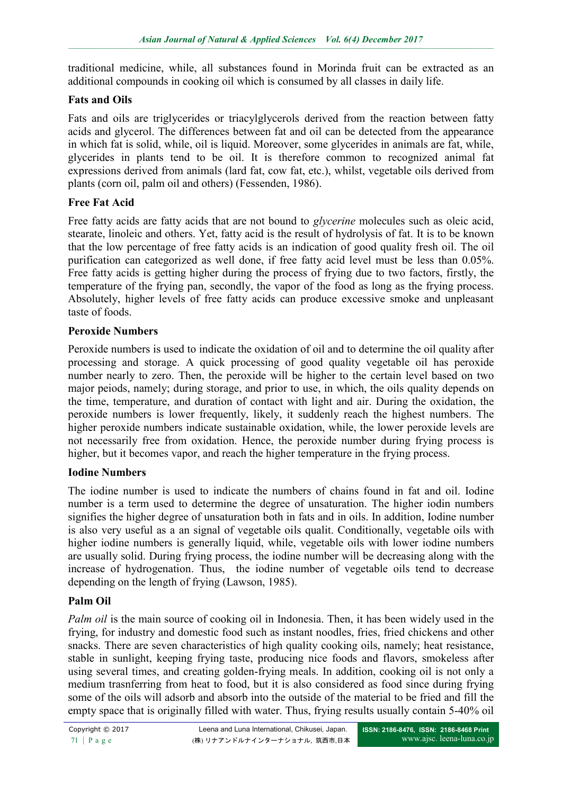traditional medicine, while, all substances found in Morinda fruit can be extracted as an additional compounds in cooking oil which is consumed by all classes in daily life.

## **Fats and Oils**

Fats and oils are triglycerides or triacylglycerols derived from the reaction between fatty acids and glycerol. The differences between fat and oil can be detected from the appearance in which fat is solid, while, oil is liquid. Moreover, some glycerides in animals are fat, while, glycerides in plants tend to be oil. It is therefore common to recognized animal fat expressions derived from animals (lard fat, cow fat, etc.), whilst, vegetable oils derived from plants (corn oil, palm oil and others) (Fessenden, 1986).

## **Free Fat Acid**

Free fatty acids are fatty acids that are not bound to *glycerine* molecules such as oleic acid, stearate, linoleic and others. Yet, fatty acid is the result of hydrolysis of fat. It is to be known that the low percentage of free fatty acids is an indication of good quality fresh oil. The oil purification can categorized as well done, if free fatty acid level must be less than 0.05%. Free fatty acids is getting higher during the process of frying due to two factors, firstly, the temperature of the frying pan, secondly, the vapor of the food as long as the frying process. Absolutely, higher levels of free fatty acids can produce excessive smoke and unpleasant taste of foods.

## **Peroxide Numbers**

Peroxide numbers is used to indicate the oxidation of oil and to determine the oil quality after processing and storage. A quick processing of good quality vegetable oil has peroxide number nearly to zero. Then, the peroxide will be higher to the certain level based on two major peiods, namely; during storage, and prior to use, in which, the oils quality depends on the time, temperature, and duration of contact with light and air. During the oxidation, the peroxide numbers is lower frequently, likely, it suddenly reach the highest numbers. The higher peroxide numbers indicate sustainable oxidation, while, the lower peroxide levels are not necessarily free from oxidation. Hence, the peroxide number during frying process is higher, but it becomes vapor, and reach the higher temperature in the frying process.

## **Iodine Numbers**

The iodine number is used to indicate the numbers of chains found in fat and oil. Iodine number is a term used to determine the degree of unsaturation. The higher iodin numbers signifies the higher degree of unsaturation both in fats and in oils. In addition, Iodine number is also very useful as a an signal of vegetable oils qualit. Conditionally, vegetable oils with higher iodine numbers is generally liquid, while, vegetable oils with lower iodine numbers are usually solid. During frying process, the iodine number will be decreasing along with the increase of hydrogenation. Thus, the iodine number of vegetable oils tend to decrease depending on the length of frying (Lawson, 1985).

## **Palm Oil**

*Palm oil* is the main source of cooking oil in Indonesia. Then, it has been widely used in the frying, for industry and domestic food such as instant noodles, fries, fried chickens and other snacks. There are seven characteristics of high quality cooking oils, namely; heat resistance, stable in sunlight, keeping frying taste, producing nice foods and flavors, smokeless after using several times, and creating golden-frying meals. In addition, cooking oil is not only a medium trasnferring from heat to food, but it is also considered as food since during frying some of the oils will adsorb and absorb into the outside of the material to be fried and fill the empty space that is originally filled with water. Thus, frying results usually contain 5-40% oil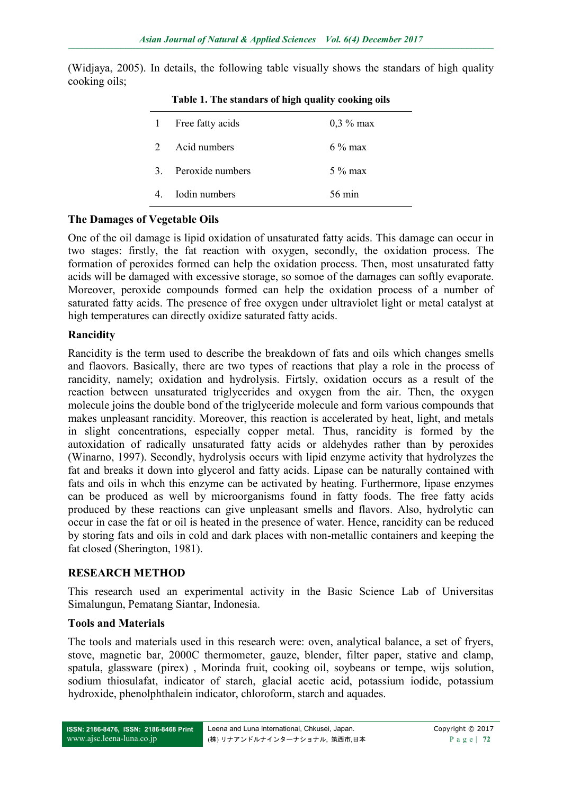(Widiaya, 2005). In details, the following table visually shows the standars of high quality cooking oils;

| $\mathbf{1}$   | Free fatty acids | $0,3\%$ max |
|----------------|------------------|-------------|
| $\mathcal{L}$  | Acid numbers     | $6\%$ max   |
| 3 <sub>1</sub> | Peroxide numbers | $5\%$ max   |
|                | Iodin numbers    | 56 min      |
|                |                  |             |

**Table 1. The standars of high quality cooking oils**

## **The Damages of Vegetable Oils**

One of the oil damage is lipid oxidation of unsaturated fatty acids. This damage can occur in two stages: firstly, the fat reaction with oxygen, secondly, the oxidation process. The formation of peroxides formed can help the oxidation process. Then, most unsaturated fatty acids will be damaged with excessive storage, so somoe of the damages can softly evaporate. Moreover, peroxide compounds formed can help the oxidation process of a number of saturated fatty acids. The presence of free oxygen under ultraviolet light or metal catalyst at high temperatures can directly oxidize saturated fatty acids.

#### **Rancidity**

Rancidity is the term used to describe the breakdown of fats and oils which changes smells and flaovors. Basically, there are two types of reactions that play a role in the process of rancidity, namely; oxidation and hydrolysis. Firtsly, oxidation occurs as a result of the reaction between unsaturated triglycerides and oxygen from the air. Then, the oxygen molecule joins the double bond of the triglyceride molecule and form various compounds that makes unpleasant rancidity. Moreover, this reaction is accelerated by heat, light, and metals in slight concentrations, especially copper metal. Thus, rancidity is formed by the autoxidation of radically unsaturated fatty acids or aldehydes rather than by peroxides (Winarno, 1997). Secondly, hydrolysis occurs with lipid enzyme activity that hydrolyzes the fat and breaks it down into glycerol and fatty acids. Lipase can be naturally contained with fats and oils in whch this enzyme can be activated by heating. Furthermore, lipase enzymes can be produced as well by microorganisms found in fatty foods. The free fatty acids produced by these reactions can give unpleasant smells and flavors. Also, hydrolytic can occur in case the fat or oil is heated in the presence of water. Hence, rancidity can be reduced by storing fats and oils in cold and dark places with non-metallic containers and keeping the fat closed (Sherington, 1981).

## **RESEARCH METHOD**

This research used an experimental activity in the Basic Science Lab of Universitas Simalungun, Pematang Siantar, Indonesia.

## **Tools and Materials**

The tools and materials used in this research were: oven, analytical balance, a set of fryers, stove, magnetic bar, 2000C thermometer, gauze, blender, filter paper, stative and clamp, spatula, glassware (pirex) , Morinda fruit, cooking oil, soybeans or tempe, wijs solution, sodium thiosulafat, indicator of starch, glacial acetic acid, potassium iodide, potassium hydroxide, phenolphthalein indicator, chloroform, starch and aquades.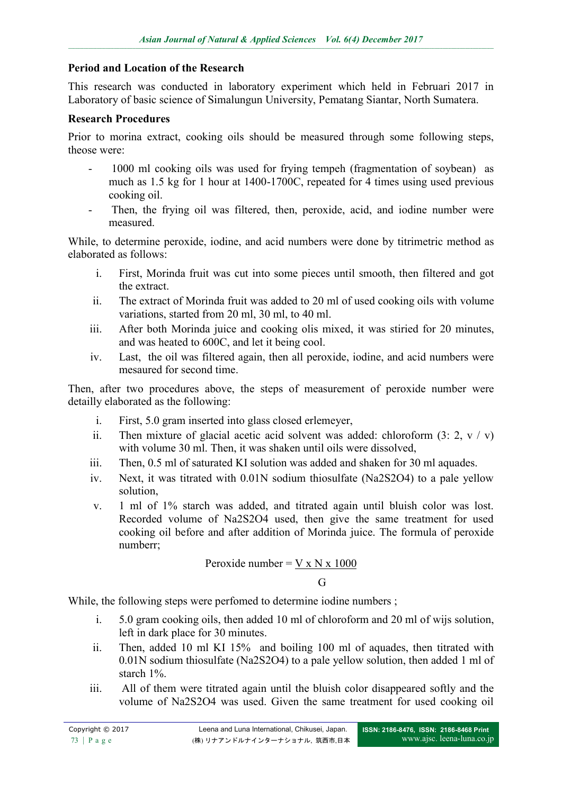# **Period and Location of the Research**

This research was conducted in laboratory experiment which held in Februari 2017 in Laboratory of basic science of Simalungun University, Pematang Siantar, North Sumatera.

## **Research Procedures**

Prior to morina extract, cooking oils should be measured through some following steps, theose were:

- 1000 ml cooking oils was used for frying tempeh (fragmentation of soybean) as much as 1.5 kg for 1 hour at 1400-1700C, repeated for 4 times using used previous cooking oil.
- Then, the frying oil was filtered, then, peroxide, acid, and iodine number were measured.

While, to determine peroxide, iodine, and acid numbers were done by titrimetric method as elaborated as follows:

- i. First, Morinda fruit was cut into some pieces until smooth, then filtered and got the extract.
- ii. The extract of Morinda fruit was added to 20 ml of used cooking oils with volume variations, started from 20 ml, 30 ml, to 40 ml.
- iii. After both Morinda juice and cooking olis mixed, it was stiried for 20 minutes, and was heated to 600C, and let it being cool.
- iv. Last, the oil was filtered again, then all peroxide, iodine, and acid numbers were mesaured for second time.

Then, after two procedures above, the steps of measurement of peroxide number were detailly elaborated as the following:

- i. First, 5.0 gram inserted into glass closed erlemeyer,
- ii. Then mixture of glacial acetic acid solvent was added: chloroform  $(3: 2, v / v)$ with volume 30 ml. Then, it was shaken until oils were dissolved,
- iii. Then, 0.5 ml of saturated KI solution was added and shaken for 30 ml aquades.
- iv. Next, it was titrated with 0.01N sodium thiosulfate (Na2S2O4) to a pale yellow solution,
- v. 1 ml of 1% starch was added, and titrated again until bluish color was lost. Recorded volume of Na2S2O4 used, then give the same treatment for used cooking oil before and after addition of Morinda juice. The formula of peroxide numberr;

Peroxide number = 
$$
\frac{V \times N \times 1000}{G}
$$

While, the following steps were perfomed to determine iodine numbers ;

- i. 5.0 gram cooking oils, then added 10 ml of chloroform and 20 ml of wijs solution, left in dark place for 30 minutes.
- ii. Then, added 10 ml KI 15% and boiling 100 ml of aquades, then titrated with 0.01N sodium thiosulfate (Na2S2O4) to a pale yellow solution, then added 1 ml of starch 1%.
- iii. All of them were titrated again until the bluish color disappeared softly and the volume of Na2S2O4 was used. Given the same treatment for used cooking oil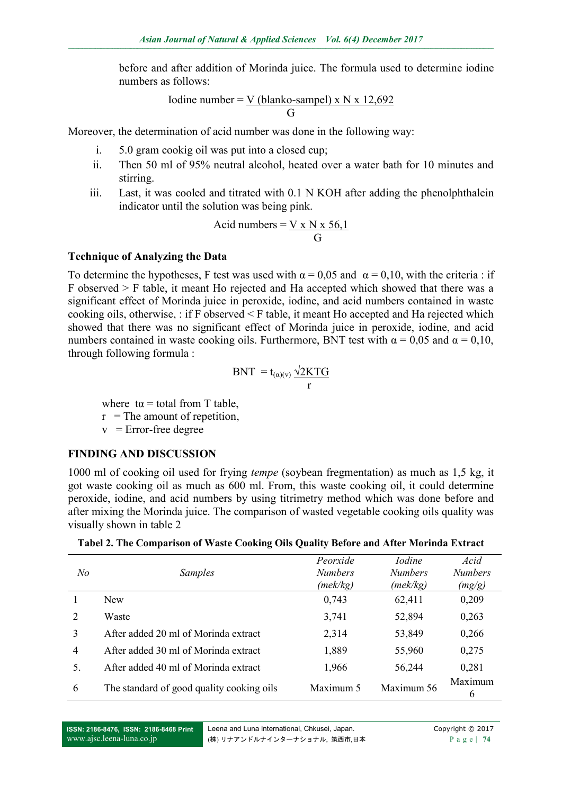before and after addition of Morinda juice. The formula used to determine iodine numbers as follows:

Iodine number = 
$$
\frac{V \text{ (blanko-sampel)} \times N \times 12,692}{G}
$$

Moreover, the determination of acid number was done in the following way:

- i. 5.0 gram cookig oil was put into a closed cup;
- ii. Then 50 ml of 95% neutral alcohol, heated over a water bath for 10 minutes and stirring.
- iii. Last, it was cooled and titrated with 0.1 N KOH after adding the phenolphthalein indicator until the solution was being pink.

$$
Acid numbers = \frac{V \times N \times 56.1}{G}
$$

#### **Technique of Analyzing the Data**

To determine the hypotheses. F test was used with  $\alpha = 0.05$  and  $\alpha = 0.10$ , with the criteria : if  $F$  observed  $>$  F table, it meant Ho rejected and Ha accepted which showed that there was a significant effect of Morinda juice in peroxide, iodine, and acid numbers contained in waste cooking oils, otherwise, : if F observed < F table, it meant Ho accepted and Ha rejected which showed that there was no significant effect of Morinda juice in peroxide, iodine, and acid numbers contained in waste cooking oils. Furthermore, BNT test with  $\alpha = 0.05$  and  $\alpha = 0.10$ , through following formula :

$$
BNT = t_{(\alpha)(v)} \frac{\sqrt{2KTG}}{r}
$$

where  $t\alpha$  = total from T table,

 $r =$ The amount of repetition,

 $v =$  Error-free degree

#### **FINDING AND DISCUSSION**

1000 ml of cooking oil used for frying *tempe* (soybean fregmentation) as much as 1,5 kg, it got waste cooking oil as much as 600 ml. From, this waste cooking oil, it could determine peroxide, iodine, and acid numbers by using titrimetry method which was done before and after mixing the Morinda juice. The comparison of wasted vegetable cooking oils quality was visually shown in table 2

| Tabel 2. The Comparison of Waste Cooking Oils Quality Before and After Morinda Extract |  |  |
|----------------------------------------------------------------------------------------|--|--|
|                                                                                        |  |  |

| N <sub>o</sub> | <i>Samples</i>                            | Peorxide<br><b>Numbers</b><br>(mek/kg) | <i>Iodine</i><br><b>Numbers</b><br>(mek/kg) | Acid<br><b>Numbers</b><br>(mg/g) |
|----------------|-------------------------------------------|----------------------------------------|---------------------------------------------|----------------------------------|
|                | <b>New</b>                                | 0,743                                  | 62,411                                      | 0,209                            |
| 2              | Waste                                     | 3,741                                  | 52,894                                      | 0,263                            |
| 3              | After added 20 ml of Morinda extract      | 2,314                                  | 53,849                                      | 0,266                            |
| $\overline{4}$ | After added 30 ml of Morinda extract      | 1,889                                  | 55,960                                      | 0,275                            |
| 5.             | After added 40 ml of Morinda extract      | 1,966                                  | 56,244                                      | 0,281                            |
| 6              | The standard of good quality cooking oils | Maximum 5                              | Maximum 56                                  | Maximum<br>6                     |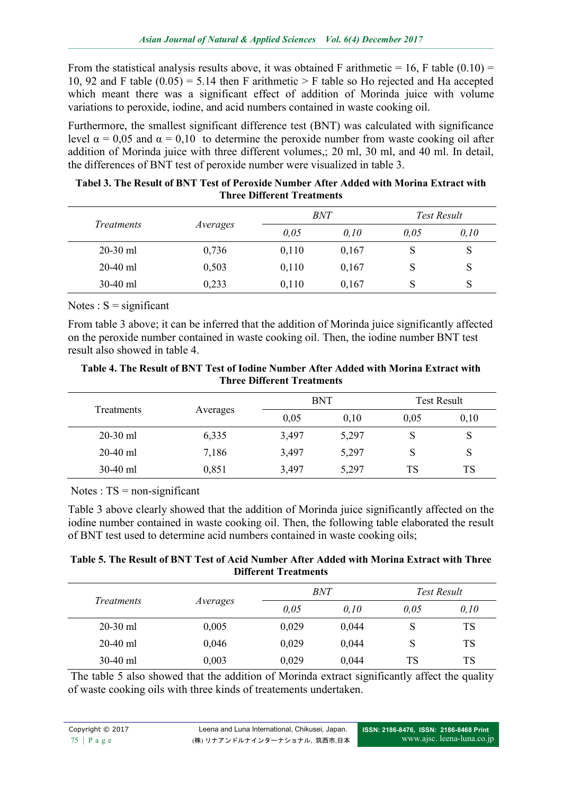From the statistical analysis results above, it was obtained F arithmetic = 16, F table (0.10) = 10, 92 and F table  $(0.05) = 5.14$  then F arithmetic > F table so Ho rejected and Ha accepted which meant there was a significant effect of addition of Morinda juice with volume variations to peroxide, iodine, and acid numbers contained in waste cooking oil.

Furthermore, the smallest significant difference test (BNT) was calculated with significance level  $α = 0.05$  and  $α = 0.10$  to determine the peroxide number from waste cooking oil after addition of Morinda juice with three different volumes,; 20 ml, 30 ml, and 40 ml. In detail, the differences of BNT test of peroxide number were visualized in table 3.

| Tabel 3. The Result of BNT Test of Peroxide Number After Added with Morina Extract with |
|-----------------------------------------------------------------------------------------|
| <b>Three Different Treatments</b>                                                       |

|                   |          | BNT   |       | Test Result |      |
|-------------------|----------|-------|-------|-------------|------|
| <i>Treatments</i> | Averages | 0,05  | 0.10  | 0,05        | 0,10 |
| $20-30$ ml        | 0,736    | 0,110 | 0,167 | S           | S    |
| $20-40$ ml        | 0,503    | 0,110 | 0,167 | S           | S    |
| $30-40$ ml        | 0,233    | 0,110 | 0,167 | S           | S    |

Notes :  $S =$  significant

From table 3 above; it can be inferred that the addition of Morinda juice significantly affected on the peroxide number contained in waste cooking oil. Then, the iodine number BNT test result also showed in table 4.

**Table 4. The Result of BNT Test of Iodine Number After Added with Morina Extract with Three Different Treatments**

| <b>Treatments</b> |          | <b>BNT</b> |       | <b>Test Result</b> |      |
|-------------------|----------|------------|-------|--------------------|------|
|                   | Averages | 0,05       | 0,10  | 0,05               | 0,10 |
| $20-30$ ml        | 6,335    | 3,497      | 5,297 | S                  | S    |
| $20-40$ ml        | 7,186    | 3,497      | 5,297 | S                  | S    |
| $30-40$ ml        | 0,851    | 3,497      | 5,297 | TS                 | TS   |

Notes :  $TS = non-significant$ 

Table 3 above clearly showed that the addition of Morinda juice significantly affected on the iodine number contained in waste cooking oil. Then, the following table elaborated the result of BNT test used to determine acid numbers contained in waste cooking oils;

#### **Table 5. The Result of BNT Test of Acid Number After Added with Morina Extract with Three Different Treatments**

|                   |          | BNT   |       | Test Result |           |
|-------------------|----------|-------|-------|-------------|-----------|
| <i>Treatments</i> | Averages | 0,05  | 0,10  | 0,05        | 0,10      |
| $20-30$ ml        | 0,005    | 0,029 | 0,044 | S           | TS        |
| $20-40$ ml        | 0,046    | 0,029 | 0,044 | S           | <b>TS</b> |
| $30-40$ ml        | 0,003    | 0,029 | 0,044 | <b>TS</b>   | <b>TS</b> |

The table 5 also showed that the addition of Morinda extract significantly affect the quality of waste cooking oils with three kinds of treatements undertaken.